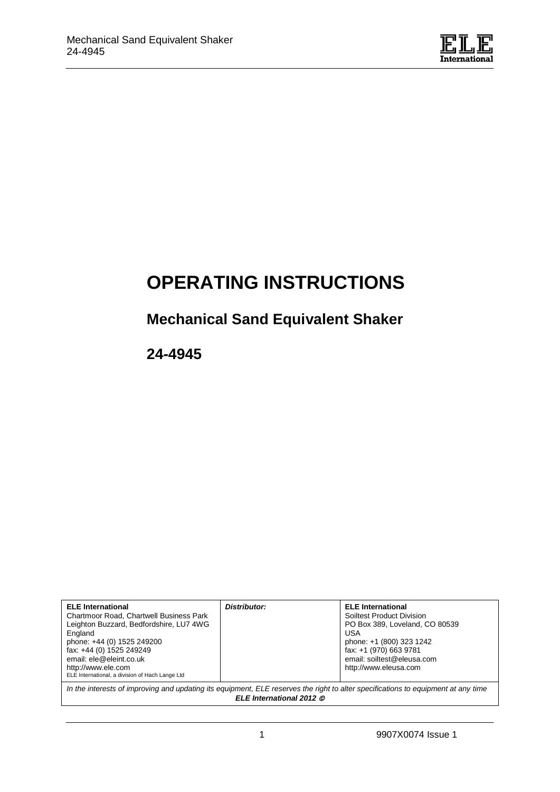

# **OPERATING INSTRUCTIONS**

# **Mechanical Sand Equivalent Shaker**

**24-4945**

| <b>ELE</b> International<br><b>Chartmoor Road, Chartwell Business Park</b><br>Leighton Buzzard, Bedfordshire, LU7 4WG<br>England<br>phone: +44 (0) 1525 249200<br>fax: +44 (0) 1525 249249<br>email: ele@eleint.co.uk<br>http://www.ele.com<br>ELE International, a division of Hach Lange Ltd | Distributor: | <b>ELE</b> International<br>Soiltest Product Division<br>PO Box 389, Loveland, CO 80539<br>USA<br>phone: +1 (800) 323 1242<br>fax: +1 (970) 663 9781<br>email: soiltest@eleusa.com<br>http://www.eleusa.com |
|------------------------------------------------------------------------------------------------------------------------------------------------------------------------------------------------------------------------------------------------------------------------------------------------|--------------|-------------------------------------------------------------------------------------------------------------------------------------------------------------------------------------------------------------|
| In the interests of improving and updating its equipment, ELE reserves the right to alter specifications to equipment at any time                                                                                                                                                              |              |                                                                                                                                                                                                             |

*ELE International 2012*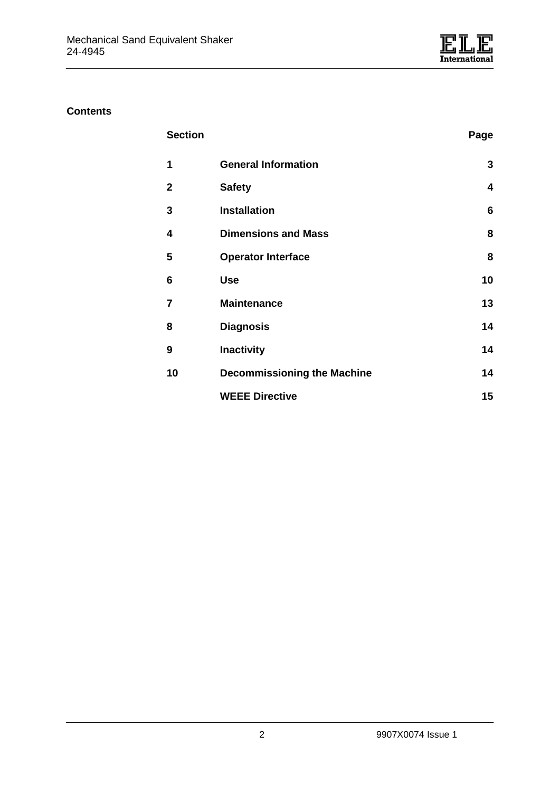

# **Contents**

| <b>Section</b>       |                            | Page |
|----------------------|----------------------------|------|
| $\blacktriangleleft$ | <b>General Information</b> |      |

| $\mathbf{2}$            | <b>Safety</b>                      | 4  |
|-------------------------|------------------------------------|----|
| 3                       | <b>Installation</b>                | 6  |
| $\overline{\mathbf{4}}$ | <b>Dimensions and Mass</b>         | 8  |
| 5                       | <b>Operator Interface</b>          | 8  |
| 6                       | <b>Use</b>                         | 10 |
| $\overline{7}$          | <b>Maintenance</b>                 | 13 |
| 8                       | <b>Diagnosis</b>                   | 14 |
| 9                       | <b>Inactivity</b>                  | 14 |
| 10                      | <b>Decommissioning the Machine</b> | 14 |
|                         | <b>WEEE Directive</b>              | 15 |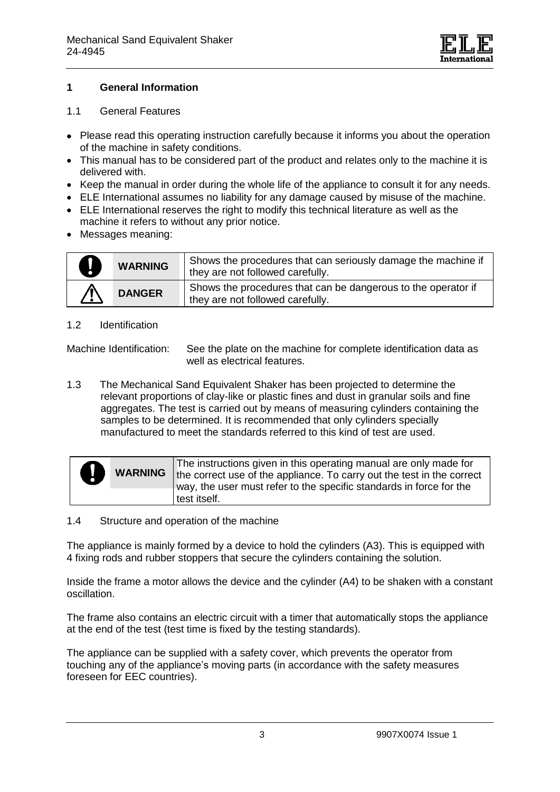

#### **1 General Information**

#### 1.1 General Features

- Please read this operating instruction carefully because it informs you about the operation of the machine in safety conditions.
- This manual has to be considered part of the product and relates only to the machine it is delivered with.
- Keep the manual in order during the whole life of the appliance to consult it for any needs.
- ELE International assumes no liability for any damage caused by misuse of the machine.
- ELE International reserves the right to modify this technical literature as well as the machine it refers to without any prior notice.
- Messages meaning:

| U        | <b>WARNING</b> | Shows the procedures that can seriously damage the machine if<br>they are not followed carefully. |
|----------|----------------|---------------------------------------------------------------------------------------------------|
| <u>个</u> | <b>DANGER</b>  | Shows the procedures that can be dangerous to the operator if<br>they are not followed carefully. |

#### 1.2 Identification

Machine Identification:See the plate on the machine for complete identification data as well as electrical features.

1.3 The Mechanical Sand Equivalent Shaker has been projected to determine the relevant proportions of clay-like or plastic fines and dust in granular soils and fine aggregates. The test is carried out by means of measuring cylinders containing the samples to be determined. It is recommended that only cylinders specially manufactured to meet the standards referred to this kind of test are used.

| П<br>$\bullet$ | <b>WARNING</b> | The instructions given in this operating manual are only made for<br>the correct use of the appliance. To carry out the test in the correct<br>way, the user must refer to the specific standards in force for the |
|----------------|----------------|--------------------------------------------------------------------------------------------------------------------------------------------------------------------------------------------------------------------|
|                |                | test itself.                                                                                                                                                                                                       |

#### 1.4 Structure and operation of the machine

The appliance is mainly formed by a device to hold the cylinders (A3). This is equipped with 4 fixing rods and rubber stoppers that secure the cylinders containing the solution.

Inside the frame a motor allows the device and the cylinder (A4) to be shaken with a constant oscillation.

The frame also contains an electric circuit with a timer that automatically stops the appliance at the end of the test (test time is fixed by the testing standards).

The appliance can be supplied with a safety cover, which prevents the operator from touching any of the appliance's moving parts (in accordance with the safety measures foreseen for EEC countries).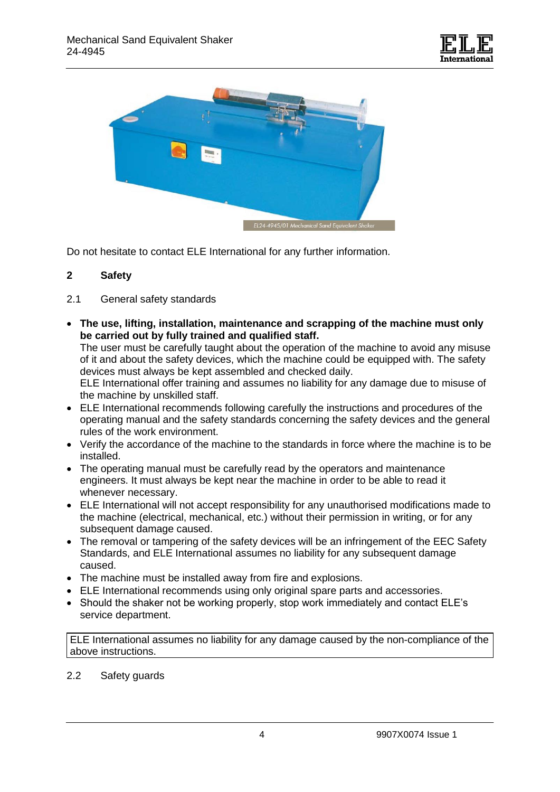



Do not hesitate to contact ELE International for any further information.

#### **2 Safety**

- 2.1 General safety standards
- **The use, lifting, installation, maintenance and scrapping of the machine must only be carried out by fully trained and qualified staff.**

The user must be carefully taught about the operation of the machine to avoid any misuse of it and about the safety devices, which the machine could be equipped with. The safety devices must always be kept assembled and checked daily.

ELE International offer training and assumes no liability for any damage due to misuse of the machine by unskilled staff.

- ELE International recommends following carefully the instructions and procedures of the operating manual and the safety standards concerning the safety devices and the general rules of the work environment.
- Verify the accordance of the machine to the standards in force where the machine is to be installed.
- The operating manual must be carefully read by the operators and maintenance engineers. It must always be kept near the machine in order to be able to read it whenever necessary.
- ELE International will not accept responsibility for any unauthorised modifications made to the machine (electrical, mechanical, etc.) without their permission in writing, or for any subsequent damage caused.
- The removal or tampering of the safety devices will be an infringement of the EEC Safety Standards, and ELE International assumes no liability for any subsequent damage caused.
- The machine must be installed away from fire and explosions.
- ELE International recommends using only original spare parts and accessories.
- Should the shaker not be working properly, stop work immediately and contact ELE's service department.

ELE International assumes no liability for any damage caused by the non-compliance of the above instructions.

### 2.2 Safety guards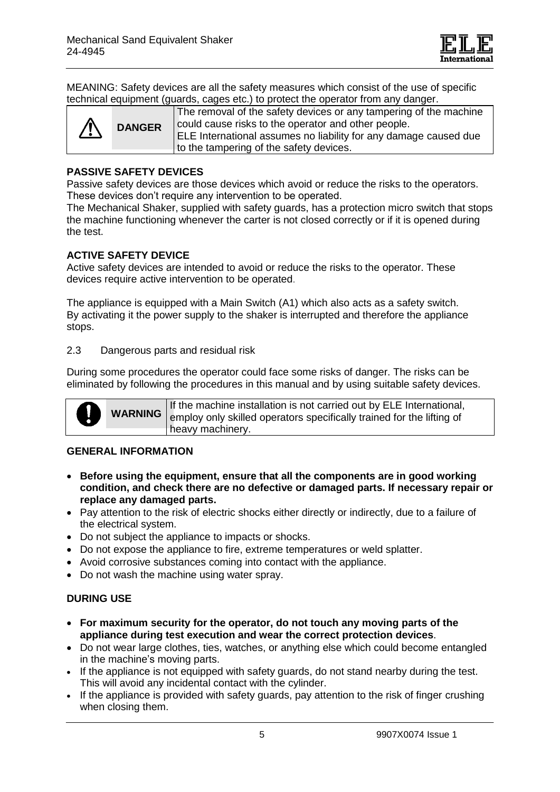

MEANING: Safety devices are all the safety measures which consist of the use of specific technical equipment (guards, cages etc.) to protect the operator from any danger.

| ELE International assumes no liability for any damage caused due<br>to the tampering of the safety devices. |  | <b>DANGER</b> | The removal of the safety devices or any tampering of the machine<br>could cause risks to the operator and other people. |
|-------------------------------------------------------------------------------------------------------------|--|---------------|--------------------------------------------------------------------------------------------------------------------------|
|-------------------------------------------------------------------------------------------------------------|--|---------------|--------------------------------------------------------------------------------------------------------------------------|

#### **PASSIVE SAFETY DEVICES**

Passive safety devices are those devices which avoid or reduce the risks to the operators. These devices don't require any intervention to be operated.

The Mechanical Shaker, supplied with safety guards, has a protection micro switch that stops the machine functioning whenever the carter is not closed correctly or if it is opened during the test.

#### **ACTIVE SAFETY DEVICE**

Active safety devices are intended to avoid or reduce the risks to the operator. These devices require active intervention to be operated.

The appliance is equipped with a Main Switch (A1) which also acts as a safety switch. By activating it the power supply to the shaker is interrupted and therefore the appliance stops.

2.3 Dangerous parts and residual risk

During some procedures the operator could face some risks of danger. The risks can be eliminated by following the procedures in this manual and by using suitable safety devices.



#### **GENERAL INFORMATION**

- **Before using the equipment, ensure that all the components are in good working condition, and check there are no defective or damaged parts. If necessary repair or replace any damaged parts.**
- Pay attention to the risk of electric shocks either directly or indirectly, due to a failure of the electrical system.
- Do not subject the appliance to impacts or shocks.
- Do not expose the appliance to fire, extreme temperatures or weld splatter.
- Avoid corrosive substances coming into contact with the appliance.
- Do not wash the machine using water spray.

# **DURING USE**

- **For maximum security for the operator, do not touch any moving parts of the appliance during test execution and wear the correct protection devices**.
- Do not wear large clothes, ties, watches, or anything else which could become entangled in the machine's moving parts.
- If the appliance is not equipped with safety guards, do not stand nearby during the test. This will avoid any incidental contact with the cylinder.
- If the appliance is provided with safety guards, pay attention to the risk of finger crushing when closing them.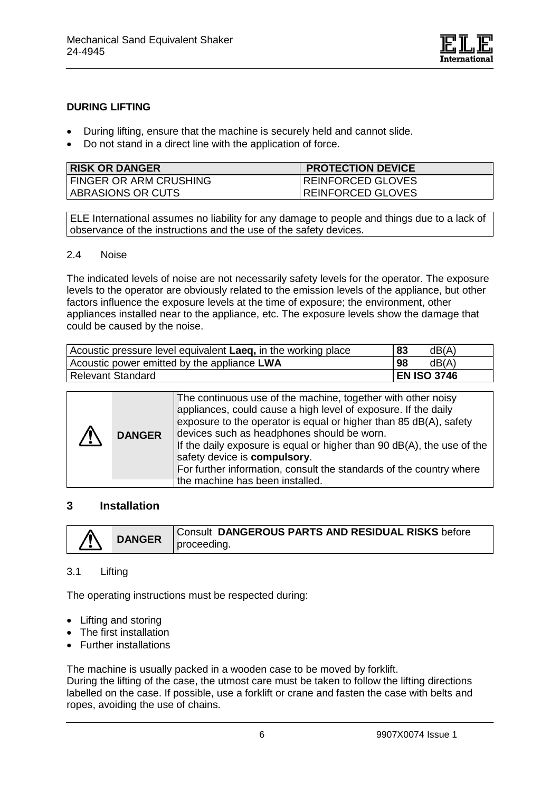

#### **DURING LIFTING**

- During lifting, ensure that the machine is securely held and cannot slide.
- Do not stand in a direct line with the application of force.

| <b>RISK OR DANGER</b>    | <b>PROTECTION DEVICE</b> |
|--------------------------|--------------------------|
| I FINGER OR ARM CRUSHING | REINFORCED GLOVES        |
| ABRASIONS OR CUTS        | <b>REINFORCED GLOVES</b> |

ELE International assumes no liability for any damage to people and things due to a lack of observance of the instructions and the use of the safety devices.

#### 2.4 Noise

The indicated levels of noise are not necessarily safety levels for the operator. The exposure levels to the operator are obviously related to the emission levels of the appliance, but other factors influence the exposure levels at the time of exposure; the environment, other appliances installed near to the appliance, etc. The exposure levels show the damage that could be caused by the noise.

| Acoustic pressure level equivalent Laeq, in the working place | 83<br>dB(A)        |
|---------------------------------------------------------------|--------------------|
| Acoustic power emitted by the appliance LWA                   | 98<br>dB(A)        |
| Relevant Standard                                             | <b>EN ISO 3746</b> |

| /!\ | <b>DANGER</b> | The continuous use of the machine, together with other noisy<br>appliances, could cause a high level of exposure. If the daily<br>exposure to the operator is equal or higher than 85 dB(A), safety<br>devices such as headphones should be worn.<br>If the daily exposure is equal or higher than 90 dB(A), the use of the<br>safety device is compulsory.<br>For further information, consult the standards of the country where |
|-----|---------------|------------------------------------------------------------------------------------------------------------------------------------------------------------------------------------------------------------------------------------------------------------------------------------------------------------------------------------------------------------------------------------------------------------------------------------|
|     |               | the machine has been installed.                                                                                                                                                                                                                                                                                                                                                                                                    |

#### **3 Installation**

| 个 |               | Consult DANGEROUS PARTS AND RESIDUAL RISKS before |
|---|---------------|---------------------------------------------------|
|   | <b>DANGER</b> | proceeding.                                       |

#### 3.1 Lifting

The operating instructions must be respected during:

- Lifting and storing
- The first installation
- Further installations

The machine is usually packed in a wooden case to be moved by forklift.

During the lifting of the case, the utmost care must be taken to follow the lifting directions labelled on the case. If possible, use a forklift or crane and fasten the case with belts and ropes, avoiding the use of chains.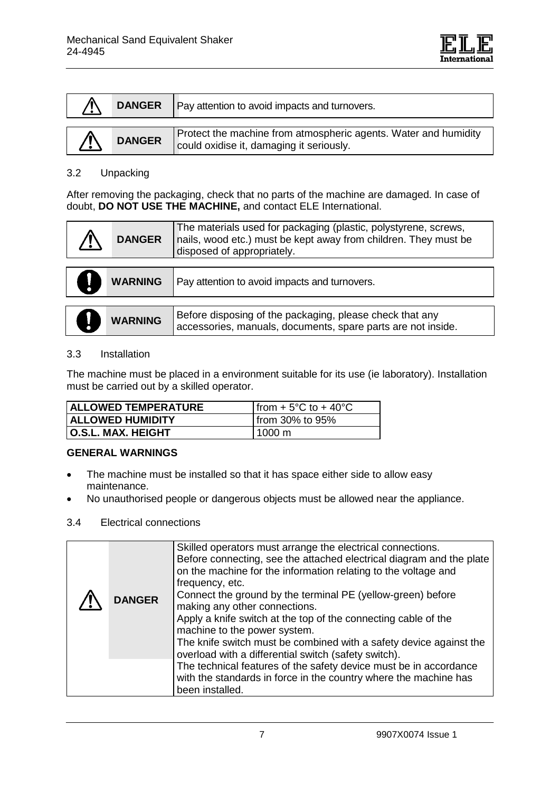| <b>DANGER</b> | Pay attention to avoid impacts and turnovers.                   |
|---------------|-----------------------------------------------------------------|
|               | Protect the machine from atmospheric agents. Water and humidity |
| <b>DANGER</b> | could oxidise it, damaging it seriously.                        |

#### 3.2 Unpacking

After removing the packaging, check that no parts of the machine are damaged. In case of doubt, **DO NOT USE THE MACHINE,** and contact ELE International.

| <b>DANGER</b>  | The materials used for packaging (plastic, polystyrene, screws,<br>nails, wood etc.) must be kept away from children. They must be<br>disposed of appropriately. |  |
|----------------|------------------------------------------------------------------------------------------------------------------------------------------------------------------|--|
|                |                                                                                                                                                                  |  |
| <b>WARNING</b> | Pay attention to avoid impacts and turnovers.                                                                                                                    |  |
|                |                                                                                                                                                                  |  |
| <b>WARNING</b> | Before disposing of the packaging, please check that any<br>accessories, manuals, documents, spare parts are not inside.                                         |  |

#### 3.3 Installation

The machine must be placed in a environment suitable for its use (ie laboratory). Installation must be carried out by a skilled operator.

| ALLOWED TEMPERATURE     | Ifrom $+5^{\circ}$ C to $+40^{\circ}$ C |  |
|-------------------------|-----------------------------------------|--|
| <b>ALLOWED HUMIDITY</b> | from 30% to 95%                         |  |
| O.S.L. MAX. HEIGHT      | 1000 m                                  |  |

# **GENERAL WARNINGS**

- The machine must be installed so that it has space either side to allow easy maintenance.
- No unauthorised people or dangerous objects must be allowed near the appliance.

#### 3.4 Electrical connections

| <b>DANGER</b> | Skilled operators must arrange the electrical connections.<br>Before connecting, see the attached electrical diagram and the plate<br>on the machine for the information relating to the voltage and<br>frequency, etc.<br>Connect the ground by the terminal PE (yellow-green) before<br>making any other connections.<br>Apply a knife switch at the top of the connecting cable of the<br>machine to the power system.<br>The knife switch must be combined with a safety device against the<br>overload with a differential switch (safety switch). |
|---------------|---------------------------------------------------------------------------------------------------------------------------------------------------------------------------------------------------------------------------------------------------------------------------------------------------------------------------------------------------------------------------------------------------------------------------------------------------------------------------------------------------------------------------------------------------------|
|               | The technical features of the safety device must be in accordance<br>with the standards in force in the country where the machine has<br>been installed.                                                                                                                                                                                                                                                                                                                                                                                                |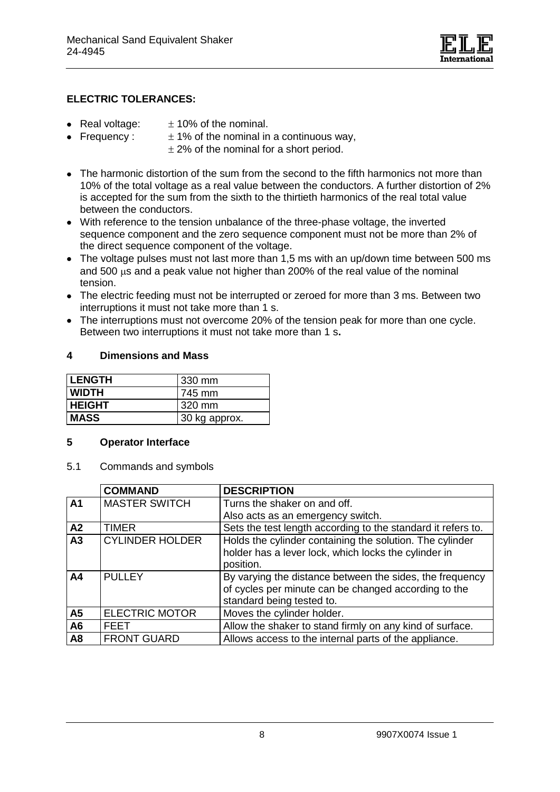

### **ELECTRIC TOLERANCES:**

- Real voltage:  $\pm 10\%$  of the nominal.
- Frequency :  $\pm 1\%$  of the nominal in a continuous way,
	- $\pm$  2% of the nominal for a short period.
- The harmonic distortion of the sum from the second to the fifth harmonics not more than 10% of the total voltage as a real value between the conductors. A further distortion of 2% is accepted for the sum from the sixth to the thirtieth harmonics of the real total value between the conductors.
- With reference to the tension unbalance of the three-phase voltage, the inverted sequence component and the zero sequence component must not be more than 2% of the direct sequence component of the voltage.
- The voltage pulses must not last more than 1,5 ms with an up/down time between 500 ms and 500  $\mu$ s and a peak value not higher than 200% of the real value of the nominal tension.
- The electric feeding must not be interrupted or zeroed for more than 3 ms. Between two interruptions it must not take more than 1 s.
- The interruptions must not overcome 20% of the tension peak for more than one cycle. Between two interruptions it must not take more than 1 s**.**

#### **4 Dimensions and Mass**

| <b>LENGTH</b> | 1330 mm       |
|---------------|---------------|
| <b>WIDTH</b>  | 1745 mm       |
| <b>HEIGHT</b> | 320 mm        |
| <b>IMASS</b>  | 30 kg approx. |

#### **5 Operator Interface**

5.1 Commands and symbols

|                | <b>COMMAND</b>         | <b>DESCRIPTION</b>                                                                                                                            |
|----------------|------------------------|-----------------------------------------------------------------------------------------------------------------------------------------------|
| A1             | <b>MASTER SWITCH</b>   | Turns the shaker on and off.                                                                                                                  |
|                |                        | Also acts as an emergency switch.                                                                                                             |
| A <sub>2</sub> | <b>TIMER</b>           | Sets the test length according to the standard it refers to.                                                                                  |
| A <sub>3</sub> | <b>CYLINDER HOLDER</b> | Holds the cylinder containing the solution. The cylinder<br>holder has a lever lock, which locks the cylinder in<br>position.                 |
| A <sub>4</sub> | <b>PULLEY</b>          | By varying the distance between the sides, the frequency<br>of cycles per minute can be changed according to the<br>standard being tested to. |
| A <sub>5</sub> | <b>ELECTRIC MOTOR</b>  | Moves the cylinder holder.                                                                                                                    |
| A <sub>6</sub> | FEET                   | Allow the shaker to stand firmly on any kind of surface.                                                                                      |
| A <sub>8</sub> | <b>FRONT GUARD</b>     | Allows access to the internal parts of the appliance.                                                                                         |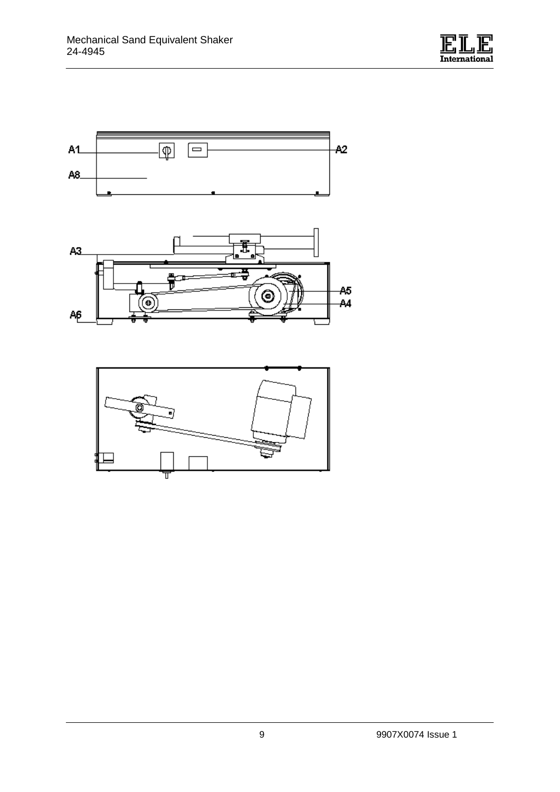





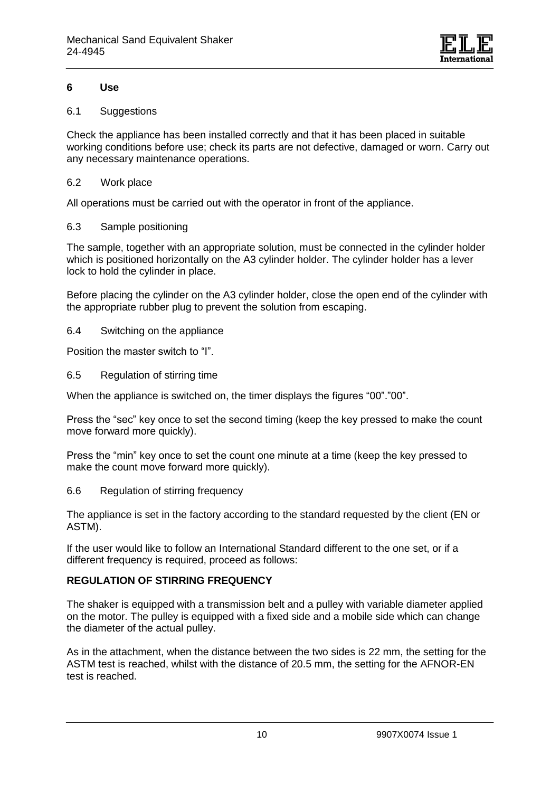

#### **6 Use**

#### 6.1 Suggestions

Check the appliance has been installed correctly and that it has been placed in suitable working conditions before use; check its parts are not defective, damaged or worn. Carry out any necessary maintenance operations.

#### 6.2 Work place

All operations must be carried out with the operator in front of the appliance.

#### 6.3 Sample positioning

The sample, together with an appropriate solution, must be connected in the cylinder holder which is positioned horizontally on the A3 cylinder holder. The cylinder holder has a lever lock to hold the cylinder in place.

Before placing the cylinder on the A3 cylinder holder, close the open end of the cylinder with the appropriate rubber plug to prevent the solution from escaping.

#### 6.4 Switching on the appliance

Position the master switch to "I".

6.5 Regulation of stirring time

When the appliance is switched on, the timer displays the figures "00"."00".

Press the "sec" key once to set the second timing (keep the key pressed to make the count move forward more quickly).

Press the "min" key once to set the count one minute at a time (keep the key pressed to make the count move forward more quickly).

6.6 Regulation of stirring frequency

The appliance is set in the factory according to the standard requested by the client (EN or ASTM).

If the user would like to follow an International Standard different to the one set, or if a different frequency is required, proceed as follows:

# **REGULATION OF STIRRING FREQUENCY**

The shaker is equipped with a transmission belt and a pulley with variable diameter applied on the motor. The pulley is equipped with a fixed side and a mobile side which can change the diameter of the actual pulley.

As in the attachment, when the distance between the two sides is 22 mm, the setting for the ASTM test is reached, whilst with the distance of 20.5 mm, the setting for the AFNOR-EN test is reached.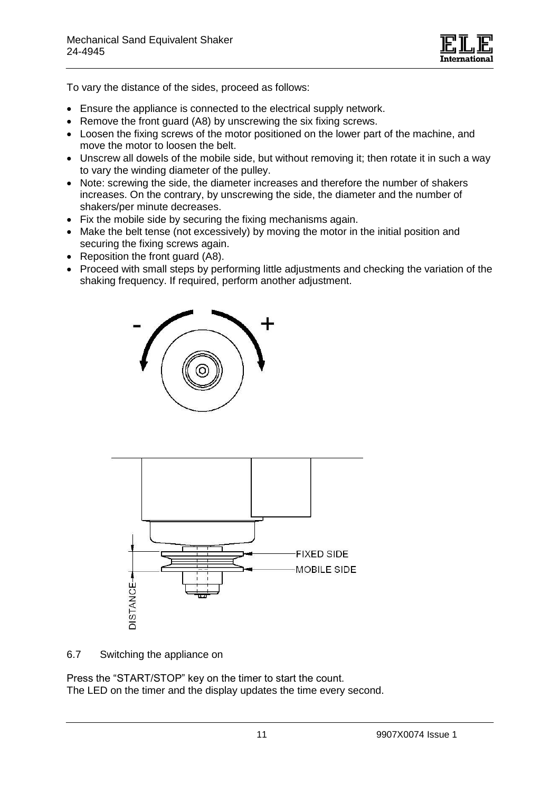

To vary the distance of the sides, proceed as follows:

- Ensure the appliance is connected to the electrical supply network.
- Remove the front guard (A8) by unscrewing the six fixing screws.
- Loosen the fixing screws of the motor positioned on the lower part of the machine, and move the motor to loosen the belt.
- Unscrew all dowels of the mobile side, but without removing it; then rotate it in such a way to vary the winding diameter of the pulley.
- Note: screwing the side, the diameter increases and therefore the number of shakers increases. On the contrary, by unscrewing the side, the diameter and the number of shakers/per minute decreases.
- Fix the mobile side by securing the fixing mechanisms again.
- Make the belt tense (not excessively) by moving the motor in the initial position and securing the fixing screws again.
- Reposition the front guard (A8).
- Proceed with small steps by performing little adjustments and checking the variation of the shaking frequency. If required, perform another adjustment.





6.7 Switching the appliance on

Press the "START/STOP" key on the timer to start the count. The LED on the timer and the display updates the time every second.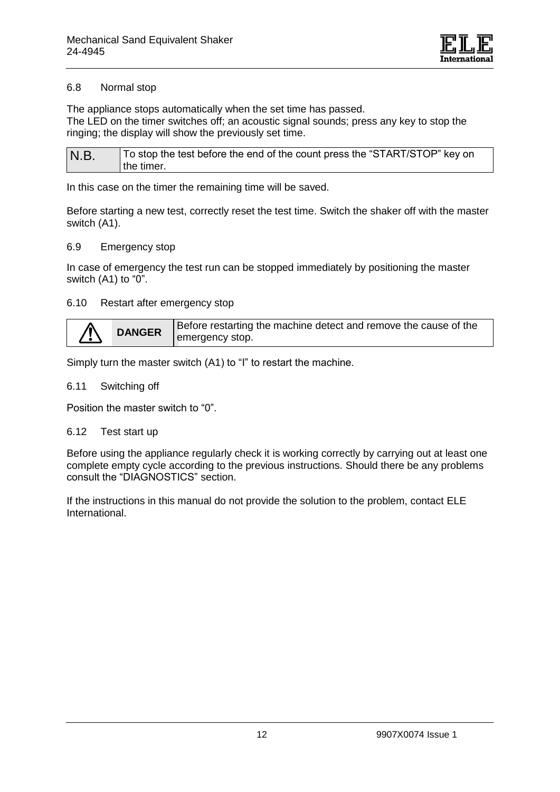

#### 6.8 Normal stop

The appliance stops automatically when the set time has passed. The LED on the timer switches off; an acoustic signal sounds; press any key to stop the ringing; the display will show the previously set time.

| N.B. | To stop the test before the end of the count press the "START/STOP" key on |
|------|----------------------------------------------------------------------------|
|      | the timer.                                                                 |

In this case on the timer the remaining time will be saved.

Before starting a new test, correctly reset the test time. Switch the shaker off with the master switch (A1).

#### 6.9 Emergency stop

In case of emergency the test run can be stopped immediately by positioning the master switch (A1) to "0".

#### 6.10 Restart after emergency stop

| <b>DANGER</b> |                 | Before restarting the machine detect and remove the cause of the |
|---------------|-----------------|------------------------------------------------------------------|
|               | emergency stop. |                                                                  |

Simply turn the master switch (A1) to "I" to restart the machine.

#### 6.11 Switching off

Position the master switch to "0".

#### 6.12 Test start up

Before using the appliance regularly check it is working correctly by carrying out at least one complete empty cycle according to the previous instructions. Should there be any problems consult the "DIAGNOSTICS" section.

If the instructions in this manual do not provide the solution to the problem, contact ELE International.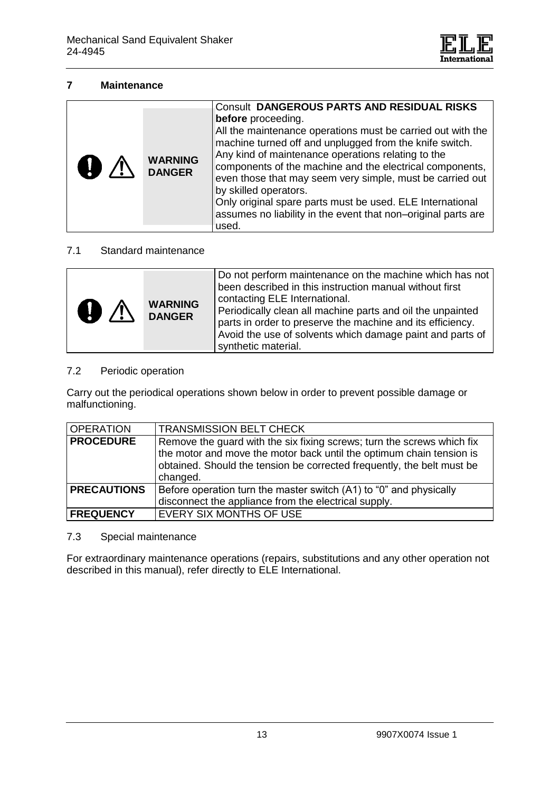

#### **7 Maintenance**

| $\mathbf{0}$ $\wedge$ | <b>WARNING</b><br><b>DANGER</b> | <b>Consult DANGEROUS PARTS AND RESIDUAL RISKS</b><br>before proceeding.<br>All the maintenance operations must be carried out with the<br>machine turned off and unplugged from the knife switch.<br>Any kind of maintenance operations relating to the<br>components of the machine and the electrical components,<br>even those that may seem very simple, must be carried out<br>by skilled operators.<br>Only original spare parts must be used. ELE International<br>assumes no liability in the event that non-original parts are<br>used. |
|-----------------------|---------------------------------|--------------------------------------------------------------------------------------------------------------------------------------------------------------------------------------------------------------------------------------------------------------------------------------------------------------------------------------------------------------------------------------------------------------------------------------------------------------------------------------------------------------------------------------------------|
|                       |                                 |                                                                                                                                                                                                                                                                                                                                                                                                                                                                                                                                                  |

#### 7.1 Standard maintenance

| $\mathbf{O} \triangle$ | <b>WARNING</b><br><b>DANGER</b> | Do not perform maintenance on the machine which has not<br>been described in this instruction manual without first<br>contacting ELE International.<br>Periodically clean all machine parts and oil the unpainted<br>parts in order to preserve the machine and its efficiency.<br>Avoid the use of solvents which damage paint and parts of<br>synthetic material. |
|------------------------|---------------------------------|---------------------------------------------------------------------------------------------------------------------------------------------------------------------------------------------------------------------------------------------------------------------------------------------------------------------------------------------------------------------|
|------------------------|---------------------------------|---------------------------------------------------------------------------------------------------------------------------------------------------------------------------------------------------------------------------------------------------------------------------------------------------------------------------------------------------------------------|

#### 7.2 Periodic operation

Carry out the periodical operations shown below in order to prevent possible damage or malfunctioning.

| <b>OPERATION</b>   | <b>TRANSMISSION BELT CHECK</b>                                                                                                                                                                                                       |
|--------------------|--------------------------------------------------------------------------------------------------------------------------------------------------------------------------------------------------------------------------------------|
| <b>PROCEDURE</b>   | Remove the guard with the six fixing screws; turn the screws which fix<br>the motor and move the motor back until the optimum chain tension is<br>obtained. Should the tension be corrected frequently, the belt must be<br>changed. |
| <b>PRECAUTIONS</b> | Before operation turn the master switch (A1) to "0" and physically<br>disconnect the appliance from the electrical supply.                                                                                                           |
| <b>FREQUENCY</b>   | EVERY SIX MONTHS OF USE                                                                                                                                                                                                              |

#### 7.3 Special maintenance

For extraordinary maintenance operations (repairs, substitutions and any other operation not described in this manual), refer directly to ELE International.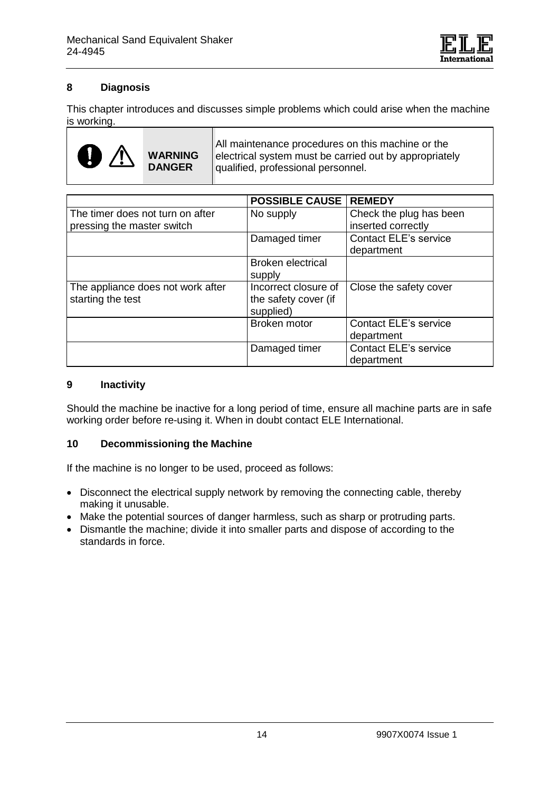

# **8 Diagnosis**

This chapter introduces and discusses simple problems which could arise when the machine is working.



All maintenance procedures on this machine or the electrical system must be carried out by appropriately qualified, professional personnel.

|                                                                | <b>POSSIBLE CAUSE   REMEDY</b>                            |                                               |
|----------------------------------------------------------------|-----------------------------------------------------------|-----------------------------------------------|
| The timer does not turn on after<br>pressing the master switch | No supply                                                 | Check the plug has been<br>inserted correctly |
|                                                                | Damaged timer                                             | <b>Contact ELE's service</b><br>department    |
|                                                                | <b>Broken electrical</b><br>supply                        |                                               |
| The appliance does not work after<br>starting the test         | Incorrect closure of<br>the safety cover (if<br>supplied) | Close the safety cover                        |
|                                                                | Broken motor                                              | <b>Contact ELE's service</b><br>department    |
|                                                                | Damaged timer                                             | <b>Contact ELE's service</b><br>department    |

#### **9 Inactivity**

Should the machine be inactive for a long period of time, ensure all machine parts are in safe working order before re-using it. When in doubt contact ELE International.

#### **10 Decommissioning the Machine**

If the machine is no longer to be used, proceed as follows:

- Disconnect the electrical supply network by removing the connecting cable, thereby making it unusable.
- Make the potential sources of danger harmless, such as sharp or protruding parts.
- Dismantle the machine; divide it into smaller parts and dispose of according to the standards in force.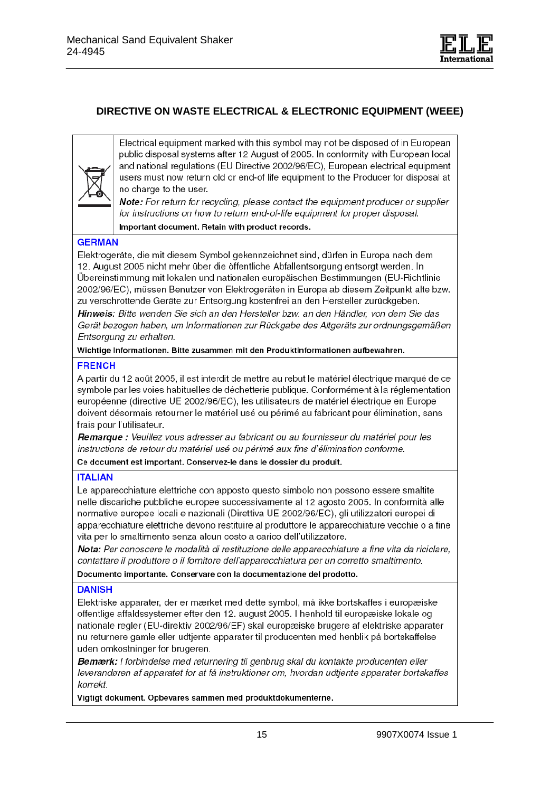

# **DIRECTIVE ON WASTE ELECTRICAL & ELECTRONIC EQUIPMENT (WEEE)**



Electrical equipment marked with this symbol may not be disposed of in European public disposal systems after 12 August of 2005. In conformity with European local and national regulations (EU Directive 2002/96/EC), European electrical equipment users must now return old or end-of life equipment to the Producer for disposal at no charge to the user.

Note: For return for recycling, please contact the equipment producer or supplier for instructions on how to return end-of-life equipment for proper disposal.

Important document. Retain with product records.

#### **GERMAN**

Elektrogeräte, die mit diesem Symbol gekennzeichnet sind, dürfen in Europa nach dem 12. August 2005 nicht mehr über die öffentliche Abfallentsorgung entsorgt werden. In Übereinstimmung mit lokalen und nationalen europäischen Bestimmungen (EU-Richtlinie 2002/96/EC), müssen Benutzer von Elektrogeräten in Europa ab diesem Zeitpunkt alte bzw. zu verschrottende Geräte zur Entsorgung kostenfrei an den Hersteller zurückgeben.

Hinweis: Bitte wenden Sie sich an den Hersteller bzw. an den Händler, von dem Sie das Gerät bezogen haben, um Informationen zur Rückgabe des Altgeräts zur ordnungsgemäßen Entsorgung zu erhalten.

Wichtige Informationen. Bitte zusammen mit den Produktinformationen aufbewahren.

#### **FRENCH**

A partir du 12 août 2005, il est interdit de mettre au rebut le matériel électrique marqué de ce symbole par les voies habituelles de déchetterie publique. Conformément à la réglementation européenne (directive UE 2002/96/EC), les utilisateurs de matériel électrique en Europe doivent désormais retourner le matériel usé ou périmé au fabricant pour élimination, sans frais pour l'utilisateur.

Remarque : Veuillez vous adresser au fabricant ou au fournisseur du matériel pour les instructions de retour du matériel usé ou périmé aux fins d'élimination conforme.

Ce document est important. Conservez-le dans le dossier du produit.

#### **ITALIAN**

Le apparecchiature elettriche con apposto questo simbolo non possono essere smaltite nelle discariche pubbliche europee successivamente al 12 agosto 2005. In conformità alle normative europee locali e nazionali (Direttiva UE 2002/96/EC), gli utilizzatori europei di apparecchiature elettriche devono restituire al produttore le apparecchiature vecchie o a fine vita per lo smaltimento senza alcun costo a carico dell'utilizzatore.

Nota: Per conoscere le modalità di restituzione delle apparecchiature a fine vita da riciclare. contattare il produttore o il fornitore dell'apparecchiatura per un corretto smaltimento.

Documento importante. Conservare con la documentazione del prodotto.

#### **DANISH**

Elektriske apparater, der er mærket med dette symbol, må ikke bortskaffes i europæiske offentlige affaldssystemer efter den 12. august 2005. I henhold til europæiske lokale og nationale regler (EU-direktiv 2002/96/EF) skal europæiske brugere af elektriske apparater nu returnere gamle eller udtjente apparater til producenten med henblik på bortskaffelse uden omkostninger for brugeren.

Bemærk: I forbindelse med returnering til genbrug skal du kontakte producenten eller leverandøren af apparatet for at få instruktioner om, hvordan udtjente apparater bortskaffes korrekt.

Vigtigt dokument. Opbevares sammen med produktdokumenterne.